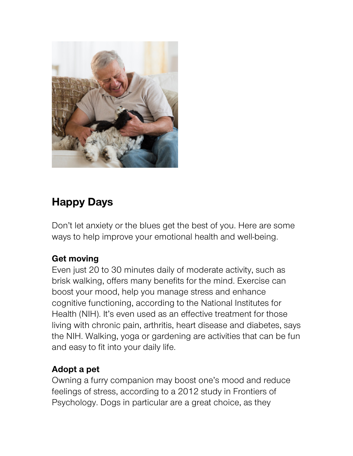

# **Happy Days**

Don't let anxiety or the blues get the best of you. Here are some ways to help improve your emotional health and well-being.

#### **Get moving**

Even just 20 to 30 minutes daily of moderate activity, such as brisk walking, offers many benefits for the mind. Exercise can boost your mood, help you manage stress and enhance cognitive functioning, according to the National Institutes for Health (NIH). It's even used as an effective treatment for those living with chronic pain, arthritis, heart disease and diabetes, says the NIH. Walking, yoga or gardening are activities that can be fun and easy to fit into your daily life.

# **Adopt a pet**

Owning a furry companion may boost one's mood and reduce feelings of stress, according to a 2012 study in Frontiers of Psychology. Dogs in particular are a great choice, as they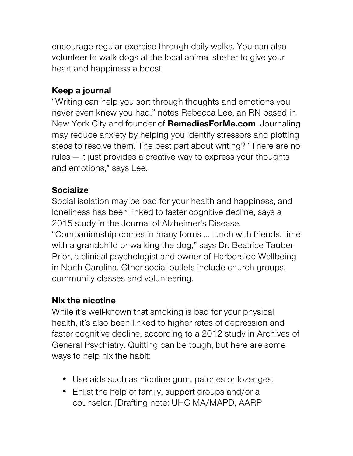encourage regular exercise through daily walks. You can also volunteer to walk dogs at the local animal shelter to give your heart and happiness a boost.

# **Keep a journal**

"Writing can help you sort through thoughts and emotions you never even knew you had," notes Rebecca Lee, an RN based in New York City and founder of **RemediesForMe.com**. Journaling may reduce anxiety by helping you identify stressors and plotting steps to resolve them. The best part about writing? "There are no rules — it just provides a creative way to express your thoughts and emotions," says Lee.

#### **Socialize**

Social isolation may be bad for your health and happiness, and loneliness has been linked to faster cognitive decline, says a 2015 study in the Journal of Alzheimer's Disease. "Companionship comes in many forms … lunch with friends, time with a grandchild or walking the dog," says Dr. Beatrice Tauber Prior, a clinical psychologist and owner of Harborside Wellbeing in North Carolina. Other social outlets include church groups, community classes and volunteering.

# **Nix the nicotine**

While it's well-known that smoking is bad for your physical health, it's also been linked to higher rates of depression and faster cognitive decline, according to a 2012 study in Archives of General Psychiatry. Quitting can be tough, but here are some ways to help nix the habit:

- Use aids such as nicotine gum, patches or lozenges.
- Enlist the help of family, support groups and/or a counselor. [Drafting note: UHC MA/MAPD, AARP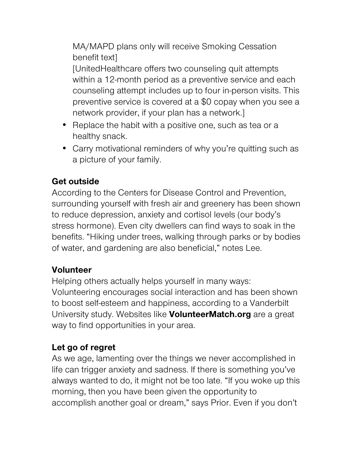MA/MAPD plans only will receive Smoking Cessation benefit text]

[UnitedHealthcare offers two counseling quit attempts within a 12-month period as a preventive service and each counseling attempt includes up to four in-person visits. This preventive service is covered at a \$0 copay when you see a network provider, if your plan has a network.]

- Replace the habit with a positive one, such as tea or a healthy snack.
- Carry motivational reminders of why you're quitting such as a picture of your family.

#### **Get outside**

According to the Centers for Disease Control and Prevention, surrounding yourself with fresh air and greenery has been shown to reduce depression, anxiety and cortisol levels (our body's stress hormone). Even city dwellers can find ways to soak in the benefits. "Hiking under trees, walking through parks or by bodies of water, and gardening are also beneficial," notes Lee.

# **Volunteer**

Helping others actually helps yourself in many ways: Volunteering encourages social interaction and has been shown to boost self-esteem and happiness, according to a Vanderbilt University study. Websites like **VolunteerMatch.org** are a great way to find opportunities in your area.

# **Let go of regret**

As we age, lamenting over the things we never accomplished in life can trigger anxiety and sadness. If there is something you've always wanted to do, it might not be too late. "If you woke up this morning, then you have been given the opportunity to accomplish another goal or dream," says Prior. Even if you don't